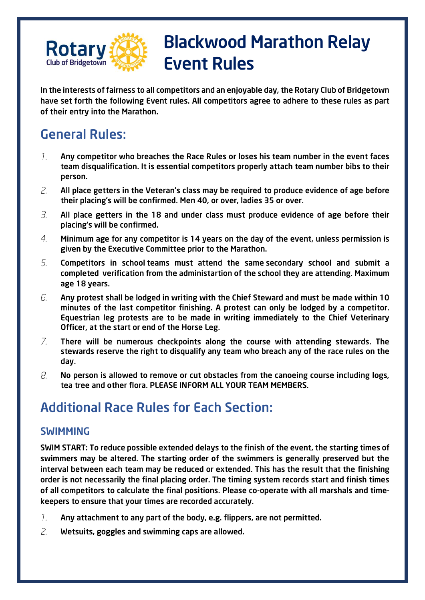

## Blackwood Marathon Relay Event Rules

In the interests of fairness to all competitors and an enjoyable day, the Rotary Club of Bridgetown have set forth the following Event rules. All competitors agree to adhere to these rules as part of their entry into the Marathon.

## General Rules:

- $\mathcal{I}$ . Any competitor who breaches the Race Rules or loses his team number in the event faces team disqualification. It is essential competitors properly attach team number bibs to their person.
- 2. All place getters in the Veteran's class may be required to produce evidence of age before their placing's will be confirmed. Men 40, or over, ladies 35 or over.
- $\beta$ . All place getters in the 18 and under class must produce evidence of age before their placing's will be confirmed.
- $4<sub>1</sub>$ Minimum age for any competitor is 14 years on the day of the event, unless permission is given by the Executive Committee prior to the Marathon.
- 5. Competitors in school teams must attend the same secondary school and submit a completed verification from the administartion of the school they are attending. Maximum age 18 years.
- 6. Any protest shall be lodged in writing with the Chief Steward and must be made within 10 minutes of the last competitor finishing. A protest can only be lodged by a competitor. Equestrian leg protests are to be made in writing immediately to the Chief Veterinary Officer, at the start or end of the Horse Leg.
- $Z_{\rm c}$ There will be numerous checkpoints along the course with attending stewards. The stewards reserve the right to disqualify any team who breach any of the race rules on the day.
- 8. No person is allowed to remove or cut obstacles from the canoeing course including logs, tea tree and other flora. PLEASE INFORM ALL YOUR TEAM MEMBERS.

## Additional Race Rules for Each Section:

#### SWIMMING

SWIM START: To reduce possible extended delays to the finish of the event, the starting times of swimmers may be altered. The starting order of the swimmers is generally preserved but the interval between each team may be reduced or extended. This has the result that the finishing order is not necessarily the final placing order. The timing system records start and finish times of all competitors to calculate the final positions. Please co-operate with all marshals and timekeepers to ensure that your times are recorded accurately.

- $\mathcal{I}$ . Any attachment to any part of the body, e.g. flippers, are not permitted.
- $\overline{Z}$ Wetsuits, goggles and swimming caps are allowed.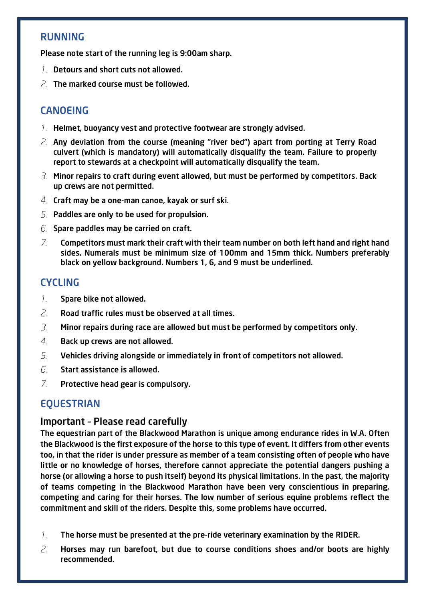#### RUNNING

Please note start of the running leg is 9:00am sharp.

- 1. Detours and short cuts not allowed.
- $2$  The marked course must be followed.

#### **CANOFING**

- 1. Helmet, buoyancy vest and protective footwear are strongly advised.
- $\alpha$ . Any deviation from the course (meaning "river bed") apart from porting at Terry Road culvert (which is mandatory) will automatically disqualify the team. Failure to properly report to stewards at a checkpoint will automatically disqualify the team.
- $3.$  Minor repairs to craft during event allowed, but must be performed by competitors. Back up crews are not permitted.
- $4$ . Craft may be a one-man canoe, kayak or surf ski.
- 5. Paddles are only to be used for propulsion.
- $6.$  Spare paddles may be carried on craft.
- $7<sup>1</sup>$ Competitors must mark their craft with their team number on both left hand and right hand sides. Numerals must be minimum size of 100mm and 15mm thick. Numbers preferably black on yellow background. Numbers 1, 6, and 9 must be underlined.

#### **CYCLING**

- $\mathcal{I}$ . Spare bike not allowed.
- $\overline{Z}$ Road traffic rules must be observed at all times.
- $\overline{B}$ Minor repairs during race are allowed but must be performed by competitors only.
- $\overline{4}$ Back up crews are not allowed.
- $5<sub>1</sub>$ Vehicles driving alongside or immediately in front of competitors not allowed.
- 6. Start assistance is allowed.
- $\overline{Z}$ Protective head gear is compulsory.

#### EQUESTRIAN

#### Important – Please read carefully

The equestrian part of the Blackwood Marathon is unique among endurance rides in W.A. Often the Blackwood is the first exposure of the horse to this type of event. It differs from other events too, in that the rider is under pressure as member of a team consisting often of people who have little or no knowledge of horses, therefore cannot appreciate the potential dangers pushing a horse (or allowing a horse to push itself) beyond its physical limitations. In the past, the majority of teams competing in the Blackwood Marathon have been very conscientious in preparing, competing and caring for their horses. The low number of serious equine problems reflect the commitment and skill of the riders. Despite this, some problems have occurred.

- $\mathcal{I}$ . The horse must be presented at the pre-ride veterinary examination by the RIDER.
- $\overline{Z}$ Horses may run barefoot, but due to course conditions shoes and/or boots are highly recommended.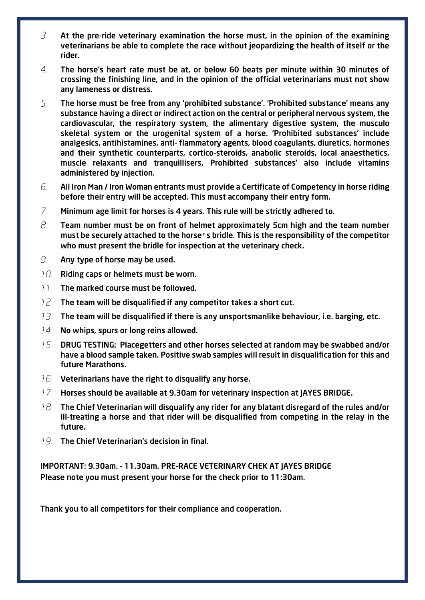- 3. At the pre-ride veterinary examination the horse must, in the opinion of the examining veterinarians be able to complete the race without jeopardizing the health of itself or the rider.
- $\overline{4}$ The horse's heart rate must be at, or below 60 beats per minute within 30 minutes of crossing the finishing line, and in the opinion of the official veterinarians must not show any lameness or distress.
- 5. The horse must be free from any 'prohibited substance'. 'Prohibited substance' means any substance having a direct or indirect action on the central or peripheral nervous system, the cardiovascular, the respiratory system, the alimentary digestive system, the musculo skeletal system or the urogenital system of a horse. 'Prohibited substances' include analgesics, antihistamines, anti- flammatory agents, blood coagulants, diuretics, hormones and their synthetic counterparts, cortico-steroids, anabolic steroids, local anaesthetics, muscle relaxants and tranquillisers, Prohibited substances' also include vitamins administered by injection.
- 6. All Iron Man / Iron Woman entrants must provide a Certificate of Competency in horse riding before their entry will be accepted. This must accompany their entry form.
- $Z_{\rm c}$ Minimum age limit for horses is 4 years. This rule will be strictly adhered to.
- $\beta$ . Team number must be on front of helmet approximately 5cm high and the team number must be securely attached to the horse's bridle. This is the responsibility of the competitor who must present the bridle for inspection at the veterinary check.
- 9. Any type of horse may be used.
- 10. Riding caps or helmets must be worn.
- 11. The marked course must be followed.
- $12.$ The team will be disqualified if any competitor takes a short cut.
- $13$ . The team will be disqualified if there is any unsportsmanlike behaviour, i.e. barging, etc.
- $14.$  No whips, spurs or long reins allowed.
- $15.$ DRUG TESTING: Placegetters and other horses selected at random may be swabbed and/or have a blood sample taken. Positive swab samples will result in disqualification for this and future Marathons.
- $16$ . Veterinarians have the right to disqualify any horse.
- 17. Horses should be available at 9.30am for veterinary inspection at JAYES BRIDGE.
- The Chief Veterinarian will disqualify any rider for any blatant disregard of the rules and/or 18. ill-treating a horse and that rider will be disqualified from competing in the relay in the future.
- 19. The Chief Veterinarian's decision in final.

IMPORTANT: 9.30am. - 11.30am. PRE-RACE VETERINARY CHEK AT JAYES BRIDGE Please note you must present your horse for the check prior to 11:30am.

Thank you to all competitors for their compliance and cooperation.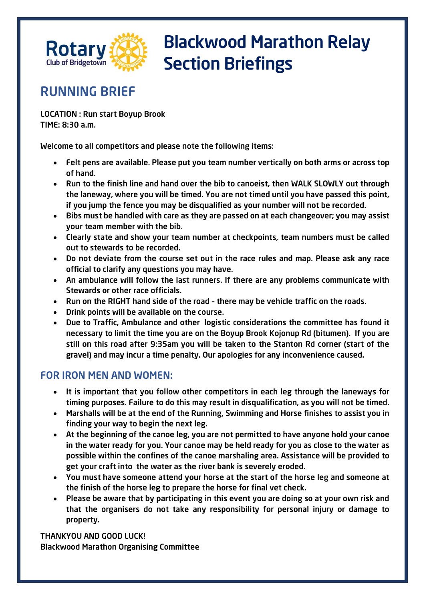

### RUNNING BRIEF

LOCATION : Run start Boyup Brook TIME: 8:30 a.m.

Welcome to all competitors and please note the following items:

- Felt pens are available. Please put you team number vertically on both arms or across top of hand.
- Run to the finish line and hand over the bib to canoeist, then WALK SLOWLY out through the laneway, where you will be timed. You are not timed until you have passed this point, if you jump the fence you may be disqualified as your number will not be recorded.
- Bibs must be handled with care as they are passed on at each changeover; you may assist your team member with the bib.
- Clearly state and show your team number at checkpoints, team numbers must be called out to stewards to be recorded.
- Do not deviate from the course set out in the race rules and map. Please ask any race official to clarify any questions you may have.
- An ambulance will follow the last runners. If there are any problems communicate with Stewards or other race officials.
- Run on the RIGHT hand side of the road there may be vehicle traffic on the roads.
- Drink points will be available on the course.
- Due to Traffic, Ambulance and other logistic considerations the committee has found it necessary to limit the time you are on the Boyup Brook Kojonup Rd (bitumen). If you are still on this road after 9:35am you will be taken to the Stanton Rd corner (start of the gravel) and may incur a time penalty. Our apologies for any inconvenience caused.

#### FOR IRON MEN AND WOMEN:

- It is important that you follow other competitors in each leg through the laneways for timing purposes. Failure to do this may result in disqualification, as you will not be timed.
- Marshalls will be at the end of the Running, Swimming and Horse finishes to assist you in finding your way to begin the next leg.
- At the beginning of the canoe leg, you are not permitted to have anyone hold your canoe in the water ready for you. Your canoe may be held ready for you as close to the water as possible within the confines of the canoe marshaling area. Assistance will be provided to get your craft into the water as the river bank is severely eroded.
- You must have someone attend your horse at the start of the horse leg and someone at the finish of the horse leg to prepare the horse for final vet check.
- Please be aware that by participating in this event you are doing so at your own risk and that the organisers do not take any responsibility for personal injury or damage to property.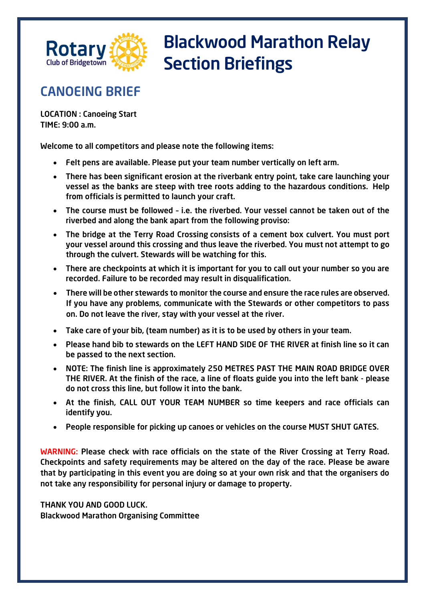

### CANOEING BRIEF

LOCATION : Canoeing Start TIME: 9:00 a.m.

Welcome to all competitors and please note the following items:

- Felt pens are available. Please put your team number vertically on left arm.
- There has been significant erosion at the riverbank entry point, take care launching your vessel as the banks are steep with tree roots adding to the hazardous conditions. Help from officials is permitted to launch your craft.
- The course must be followed i.e. the riverbed. Your vessel cannot be taken out of the riverbed and along the bank apart from the following proviso:
- The bridge at the Terry Road Crossing consists of a cement box culvert. You must port your vessel around this crossing and thus leave the riverbed. You must not attempt to go through the culvert. Stewards will be watching for this.
- There are checkpoints at which it is important for you to call out your number so you are recorded. Failure to be recorded may result in disqualification.
- There will be other stewards to monitor the course and ensure the race rules are observed. If you have any problems, communicate with the Stewards or other competitors to pass on. Do not leave the river, stay with your vessel at the river.
- Take care of your bib, (team number) as it is to be used by others in your team.
- Please hand bib to stewards on the LEFT HAND SIDE OF THE RIVER at finish line so it can be passed to the next section.
- NOTE: The finish line is approximately 250 METRES PAST THE MAIN ROAD BRIDGE OVER THE RIVER. At the finish of the race, a line of floats guide you into the left bank - please do not cross this line, but follow it into the bank.
- At the finish, CALL OUT YOUR TEAM NUMBER so time keepers and race officials can identify you.
- People responsible for picking up canoes or vehicles on the course MUST SHUT GATES.

WARNING: Please check with race officials on the state of the River Crossing at Terry Road. Checkpoints and safety requirements may be altered on the day of the race. Please be aware that by participating in this event you are doing so at your own risk and that the organisers do not take any responsibility for personal injury or damage to property.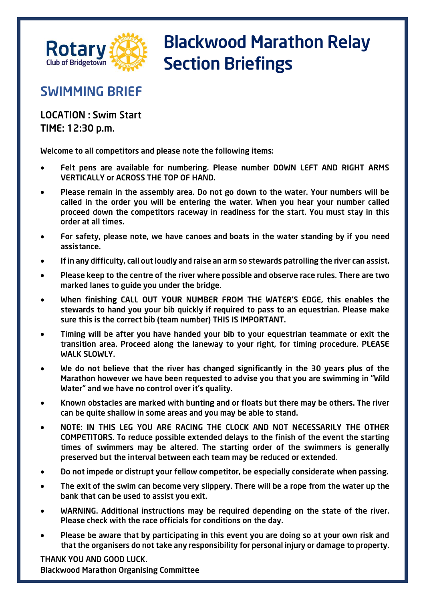

### SWIMMING BRIEF

LOCATION : Swim Start TIME: 12:30 p.m.

Welcome to all competitors and please note the following items:

- Felt pens are available for numbering. Please number DOWN LEFT AND RIGHT ARMS VERTICALLY or ACROSS THE TOP OF HAND.
- Please remain in the assembly area. Do not go down to the water. Your numbers will be called in the order you will be entering the water. When you hear your number called proceed down the competitors raceway in readiness for the start. You must stay in this order at all times.
- For safety, please note, we have canoes and boats in the water standing by if you need assistance.
- If in any difficulty, call out loudly and raise an arm so stewards patrolling the river can assist.
- Please keep to the centre of the river where possible and observe race rules. There are two marked lanes to guide you under the bridge.
- When finishing CALL OUT YOUR NUMBER FROM THE WATER'S EDGE, this enables the stewards to hand you your bib quickly if required to pass to an equestrian. Please make sure this is the correct bib (team number) THIS IS IMPORTANT.
- Timing will be after you have handed your bib to your equestrian teammate or exit the transition area. Proceed along the laneway to your right, for timing procedure. PLEASE WALK SLOWLY.
- We do not believe that the river has changed significantly in the 30 years plus of the Marathon however we have been requested to advise you that you are swimming in "Wild Water" and we have no control over it's quality.
- Known obstacles are marked with bunting and or floats but there may be others. The river can be quite shallow in some areas and you may be able to stand.
- NOTE: IN THIS LEG YOU ARE RACING THE CLOCK AND NOT NECESSARILY THE OTHER COMPETITORS. To reduce possible extended delays to the finish of the event the starting times of swimmers may be altered. The starting order of the swimmers is generally preserved but the interval between each team may be reduced or extended.
- Do not impede or distrupt your fellow competitor, be especially considerate when passing.
- The exit of the swim can become very slippery. There will be a rope from the water up the bank that can be used to assist you exit.
- WARNING. Additional instructions may be required depending on the state of the river. Please check with the race officials for conditions on the day.
- Please be aware that by participating in this event you are doing so at your own risk and that the organisers do not take any responsibility for personal injury or damage to property.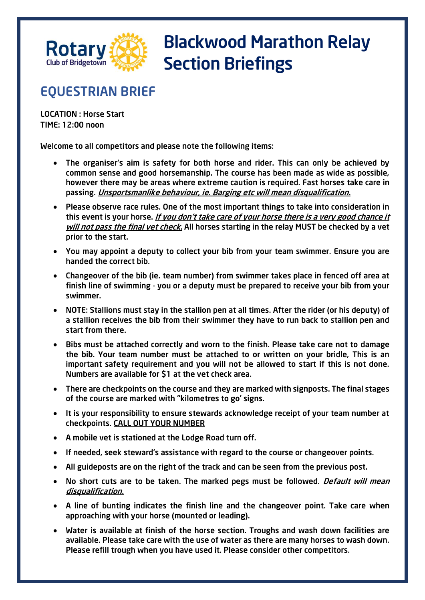

### EQUESTRIAN BRIEF

LOCATION : Horse Start TIME: 12:00 noon

Welcome to all competitors and please note the following items:

- The organiser's aim is safety for both horse and rider. This can only be achieved by common sense and good horsemanship. The course has been made as wide as possible, however there may be areas where extreme caution is required. Fast horses take care in passing. Unsportsmanlike behaviour, ie. Barging etc will mean disqualification.
- Please observe race rules. One of the most important things to take into consideration in this event is your horse. *If you don't take care of your horse there is a very good chance it* will not pass the final vet check. All horses starting in the relay MUST be checked by a vet prior to the start.
- You may appoint a deputy to collect your bib from your team swimmer. Ensure you are handed the correct bib.
- Changeover of the bib (ie. team number) from swimmer takes place in fenced off area at finish line of swimming - you or a deputy must be prepared to receive your bib from your swimmer.
- NOTE: Stallions must stay in the stallion pen at all times. After the rider (or his deputy) of a stallion receives the bib from their swimmer they have to run back to stallion pen and start from there.
- Bibs must be attached correctly and worn to the finish. Please take care not to damage the bib. Your team number must be attached to or written on your bridle, This is an important safety requirement and you will not be allowed to start if this is not done. Numbers are available for \$1 at the vet check area.
- There are checkpoints on the course and they are marked with signposts. The final stages of the course are marked with "kilometres to go' signs.
- It is your responsibility to ensure stewards acknowledge receipt of your team number at checkpoints. CALL OUT YOUR NUMBER
- A mobile vet is stationed at the Lodge Road turn off.
- If needed, seek steward's assistance with regard to the course or changeover points.
- All guideposts are on the right of the track and can be seen from the previous post.
- No short cuts are to be taken. The marked pegs must be followed. *Default will mean* disqualification.
- A line of bunting indicates the finish line and the changeover point. Take care when approaching with your horse (mounted or leading).
- Water is available at finish of the horse section. Troughs and wash down facilities are available. Please take care with the use of water as there are many horses to wash down. Please refill trough when you have used it. Please consider other competitors.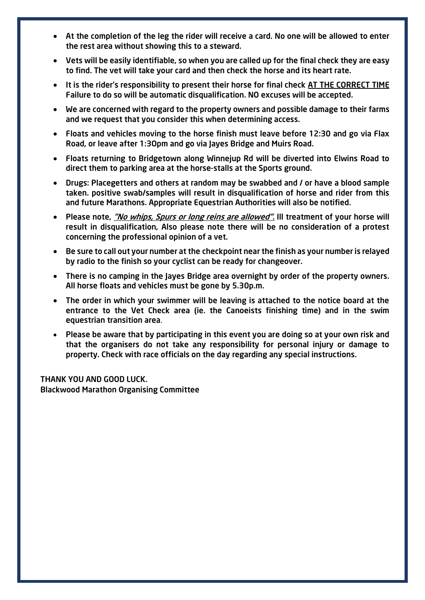- At the completion of the leg the rider will receive a card. No one will be allowed to enter the rest area without showing this to a steward.
- Vets will be easily identifiable, so when you are called up for the final check they are easy to find. The vet will take your card and then check the horse and its heart rate.
- It is the rider's responsibility to present their horse for final check AT THE CORRECT TIME Failure to do so will be automatic disqualification. NO excuses will be accepted.
- We are concerned with regard to the property owners and possible damage to their farms and we request that you consider this when determining access.
- Floats and vehicles moving to the horse finish must leave before 12:30 and go via Flax Road, or leave after 1:3Opm and go via Jayes Bridge and Muirs Road.
- Floats returning to Bridgetown along Winnejup Rd will be diverted into Elwins Road to direct them to parking area at the horse-stalls at the Sports ground.
- Drugs: Placegetters and others at random may be swabbed and / or have a blood sample taken. positive swab/samples will result in disqualification of horse and rider from this and future Marathons. Appropriate Equestrian Authorities will also be notified.
- Please note, *"No whips, Spurs or long reins are allowed"*. Ill treatment of your horse will result in disqualification, Also please note there will be no consideration of a protest concerning the professional opinion of a vet.
- Be sure to call out your number at the checkpoint near the finish as your number is relayed by radio to the finish so your cyclist can be ready for changeover.
- There is no camping in the Jayes Bridge area overnight by order of the property owners. All horse floats and vehicles must be gone by 5.30p.m.
- The order in which your swimmer will be leaving is attached to the notice board at the entrance to the Vet Check area (ie. the Canoeists finishing time) and in the swim equestrian transition area.
- Please be aware that by participating in this event you are doing so at your own risk and that the organisers do not take any responsibility for personal injury or damage to property. Check with race officials on the day regarding any special instructions.